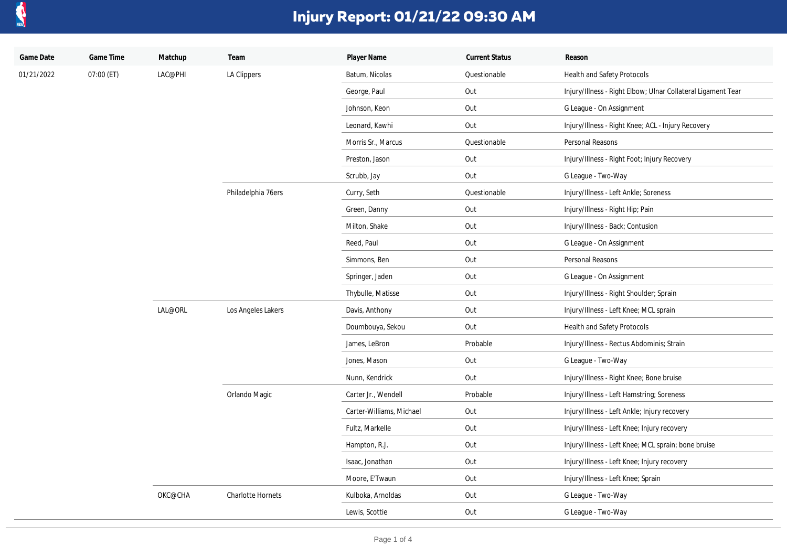

| Game Date  | Game Time  | Matchup | Team               | Player Name              | <b>Current Status</b> | Reason                                                       |
|------------|------------|---------|--------------------|--------------------------|-----------------------|--------------------------------------------------------------|
| 01/21/2022 | 07:00 (ET) | LAC@PHI | LA Clippers        | Batum, Nicolas           | Questionable          | Health and Safety Protocols                                  |
|            |            |         |                    | George, Paul             | Out                   | Injury/Illness - Right Elbow; Ulnar Collateral Ligament Tear |
|            |            |         |                    | Johnson, Keon            | Out                   | G League - On Assignment                                     |
|            |            |         |                    | Leonard, Kawhi           | Out                   | Injury/Illness - Right Knee; ACL - Injury Recovery           |
|            |            |         |                    | Morris Sr., Marcus       | Questionable          | Personal Reasons                                             |
|            |            |         |                    | Preston, Jason           | Out                   | Injury/Illness - Right Foot; Injury Recovery                 |
|            |            |         |                    | Scrubb, Jay              | Out                   | G League - Two-Way                                           |
|            |            |         | Philadelphia 76ers | Curry, Seth              | Questionable          | Injury/Illness - Left Ankle; Soreness                        |
|            |            |         |                    | Green, Danny             | Out                   | Injury/Illness - Right Hip; Pain                             |
|            |            |         |                    | Milton, Shake            | Out                   | Injury/Illness - Back; Contusion                             |
|            |            |         |                    | Reed, Paul               | Out                   | G League - On Assignment                                     |
|            |            |         |                    | Simmons, Ben             | Out                   | Personal Reasons                                             |
|            |            |         |                    | Springer, Jaden          | Out                   | G League - On Assignment                                     |
|            |            |         |                    | Thybulle, Matisse        | Out                   | Injury/Illness - Right Shoulder; Sprain                      |
|            |            | LAL@ORL | Los Angeles Lakers | Davis, Anthony           | Out                   | Injury/Illness - Left Knee; MCL sprain                       |
|            |            |         |                    | Doumbouya, Sekou         | Out                   | Health and Safety Protocols                                  |
|            |            |         |                    | James, LeBron            | Probable              | Injury/Illness - Rectus Abdominis; Strain                    |
|            |            |         |                    | Jones, Mason             | Out                   | G League - Two-Way                                           |
|            |            |         |                    | Nunn, Kendrick           | Out                   | Injury/Illness - Right Knee; Bone bruise                     |
|            |            |         | Orlando Magic      | Carter Jr., Wendell      | Probable              | Injury/Illness - Left Hamstring; Soreness                    |
|            |            |         |                    | Carter-Williams, Michael | Out                   | Injury/Illness - Left Ankle; Injury recovery                 |
|            |            |         |                    | Fultz, Markelle          | Out                   | Injury/Illness - Left Knee; Injury recovery                  |
|            |            |         |                    | Hampton, R.J.            | Out                   | Injury/Illness - Left Knee; MCL sprain; bone bruise          |
|            |            |         |                    | Isaac, Jonathan          | Out                   | Injury/Illness - Left Knee; Injury recovery                  |
|            |            |         |                    | Moore, E'Twaun           | Out                   | Injury/Illness - Left Knee; Sprain                           |
|            |            | OKC@CHA | Charlotte Hornets  | Kulboka, Arnoldas        | Out                   | G League - Two-Way                                           |
|            |            |         |                    | Lewis, Scottie           | Out                   | G League - Two-Way                                           |
|            |            |         |                    |                          |                       |                                                              |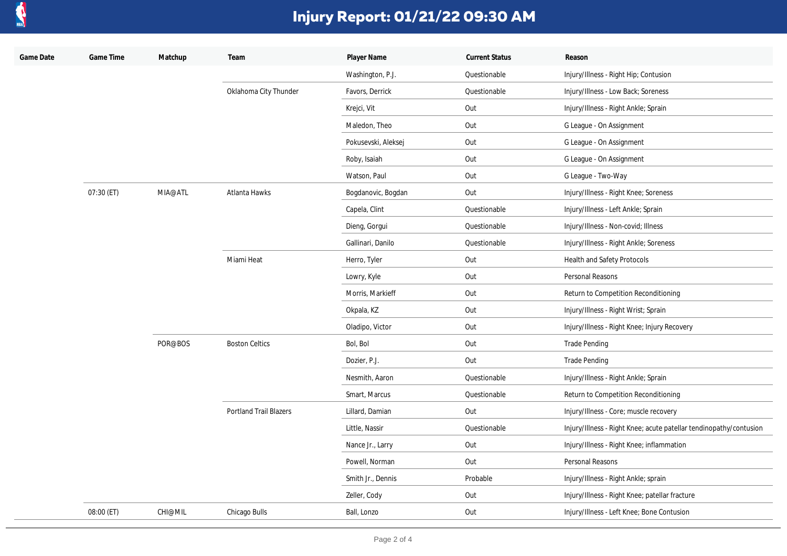

| Game Date | Game Time  | Matchup | Team                          | Player Name         | <b>Current Status</b> | Reason                                                             |
|-----------|------------|---------|-------------------------------|---------------------|-----------------------|--------------------------------------------------------------------|
|           |            |         |                               | Washington, P.J.    | Questionable          | Injury/Illness - Right Hip; Contusion                              |
|           |            |         | Oklahoma City Thunder         | Favors, Derrick     | Questionable          | Injury/Illness - Low Back; Soreness                                |
|           |            |         |                               | Krejci, Vit         | Out                   | Injury/Illness - Right Ankle; Sprain                               |
|           |            |         |                               | Maledon, Theo       | Out                   | G League - On Assignment                                           |
|           |            |         |                               | Pokusevski, Aleksej | Out                   | G League - On Assignment                                           |
|           |            |         |                               | Roby, Isaiah        | Out                   | G League - On Assignment                                           |
|           |            |         |                               | Watson, Paul        | Out                   | G League - Two-Way                                                 |
|           | 07:30 (ET) | MIA@ATL | Atlanta Hawks                 | Bogdanovic, Bogdan  | Out                   | Injury/Illness - Right Knee; Soreness                              |
|           |            |         |                               | Capela, Clint       | Questionable          | Injury/Illness - Left Ankle; Sprain                                |
|           |            |         |                               | Dieng, Gorgui       | Questionable          | Injury/Illness - Non-covid; Illness                                |
|           |            |         |                               | Gallinari, Danilo   | Questionable          | Injury/Illness - Right Ankle; Soreness                             |
|           |            |         | Miami Heat                    | Herro, Tyler        | Out                   | Health and Safety Protocols                                        |
|           |            |         |                               | Lowry, Kyle         | Out                   | Personal Reasons                                                   |
|           |            |         |                               | Morris, Markieff    | Out                   | Return to Competition Reconditioning                               |
|           |            |         |                               | Okpala, KZ          | Out                   | Injury/Illness - Right Wrist; Sprain                               |
|           |            |         |                               | Oladipo, Victor     | Out                   | Injury/Illness - Right Knee; Injury Recovery                       |
|           |            | POR@BOS | <b>Boston Celtics</b>         | Bol, Bol            | Out                   | <b>Trade Pending</b>                                               |
|           |            |         |                               | Dozier, P.J.        | Out                   | <b>Trade Pending</b>                                               |
|           |            |         |                               | Nesmith, Aaron      | Questionable          | Injury/Illness - Right Ankle; Sprain                               |
|           |            |         |                               | Smart, Marcus       | Questionable          | Return to Competition Reconditioning                               |
|           |            |         | <b>Portland Trail Blazers</b> | Lillard, Damian     | Out                   | Injury/Illness - Core; muscle recovery                             |
|           |            |         |                               | Little, Nassir      | Questionable          | Injury/Illness - Right Knee; acute patellar tendinopathy/contusion |
|           |            |         |                               | Nance Jr., Larry    | Out                   | Injury/Illness - Right Knee; inflammation                          |
|           |            |         |                               | Powell, Norman      | Out                   | Personal Reasons                                                   |
|           |            |         |                               | Smith Jr., Dennis   | Probable              | Injury/Illness - Right Ankle; sprain                               |
|           |            |         |                               | Zeller, Cody        | Out                   | Injury/Illness - Right Knee; patellar fracture                     |
|           | 08:00 (ET) | CHI@MIL | Chicago Bulls                 | Ball, Lonzo         | Out                   | Injury/Illness - Left Knee; Bone Contusion                         |
|           |            |         |                               |                     |                       |                                                                    |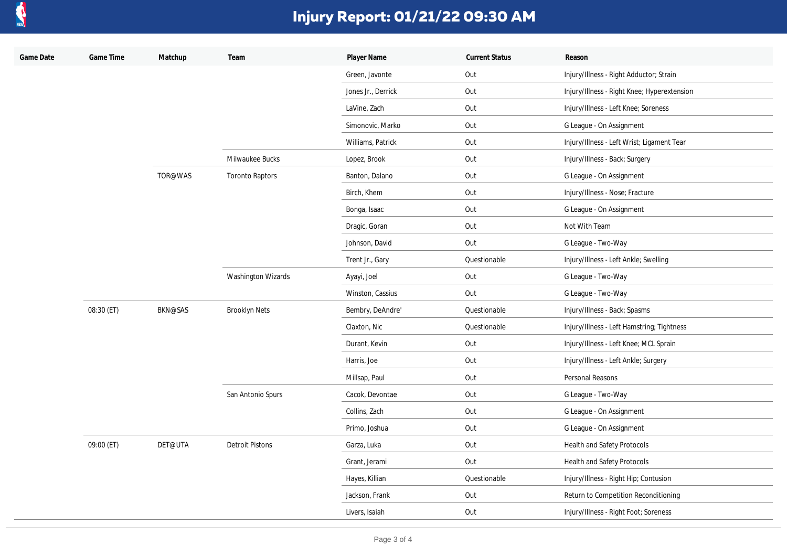

| Game Date | Game Time  | Matchup        | Team                      | Player Name        | <b>Current Status</b> | Reason                                      |
|-----------|------------|----------------|---------------------------|--------------------|-----------------------|---------------------------------------------|
|           |            |                |                           | Green, Javonte     | Out                   | Injury/Illness - Right Adductor; Strain     |
|           |            |                |                           | Jones Jr., Derrick | Out                   | Injury/Illness - Right Knee; Hyperextension |
|           |            |                |                           | LaVine, Zach       | Out                   | Injury/Illness - Left Knee; Soreness        |
|           |            |                |                           | Simonovic, Marko   | Out                   | G League - On Assignment                    |
|           |            |                |                           | Williams, Patrick  | Out                   | Injury/Illness - Left Wrist; Ligament Tear  |
|           |            |                | Milwaukee Bucks           | Lopez, Brook       | Out                   | Injury/Illness - Back; Surgery              |
|           |            | TOR@WAS        | <b>Toronto Raptors</b>    | Banton, Dalano     | Out                   | G League - On Assignment                    |
|           |            |                |                           | Birch, Khem        | Out                   | Injury/Illness - Nose; Fracture             |
|           |            |                |                           | Bonga, Isaac       | Out                   | G League - On Assignment                    |
|           |            |                |                           | Dragic, Goran      | Out                   | Not With Team                               |
|           |            |                |                           | Johnson, David     | Out                   | G League - Two-Way                          |
|           |            |                |                           | Trent Jr., Gary    | Questionable          | Injury/Illness - Left Ankle; Swelling       |
|           |            |                | <b>Washington Wizards</b> | Ayayi, Joel        | Out                   | G League - Two-Way                          |
|           |            |                |                           | Winston, Cassius   | Out                   | G League - Two-Way                          |
|           | 08:30 (ET) | <b>BKN@SAS</b> | <b>Brooklyn Nets</b>      | Bembry, DeAndre'   | Questionable          | Injury/Illness - Back; Spasms               |
|           |            |                |                           | Claxton, Nic       | Questionable          | Injury/Illness - Left Hamstring; Tightness  |
|           |            |                |                           | Durant, Kevin      | Out                   | Injury/Illness - Left Knee; MCL Sprain      |
|           |            |                |                           | Harris, Joe        | Out                   | Injury/Illness - Left Ankle; Surgery        |
|           |            |                |                           | Millsap, Paul      | Out                   | Personal Reasons                            |
|           |            |                | San Antonio Spurs         | Cacok, Devontae    | Out                   | G League - Two-Way                          |
|           |            |                |                           | Collins, Zach      | Out                   | G League - On Assignment                    |
|           |            |                |                           | Primo, Joshua      | Out                   | G League - On Assignment                    |
|           | 09:00 (ET) | DET@UTA        | <b>Detroit Pistons</b>    | Garza, Luka        | Out                   | Health and Safety Protocols                 |
|           |            |                |                           | Grant, Jerami      | Out                   | Health and Safety Protocols                 |
|           |            |                |                           | Hayes, Killian     | Questionable          | Injury/Illness - Right Hip; Contusion       |
|           |            |                |                           | Jackson, Frank     | Out                   | Return to Competition Reconditioning        |
|           |            |                |                           | Livers, Isaiah     | Out                   | Injury/Illness - Right Foot; Soreness       |
|           |            |                |                           |                    |                       |                                             |